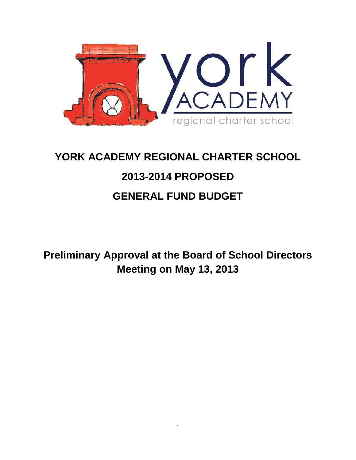

# **YORK ACADEMY REGIONAL CHARTER SCHOOL 2013-2014 PROPOSED GENERAL FUND BUDGET**

**Preliminary Approval at the Board of School Directors Meeting on May 13, 2013**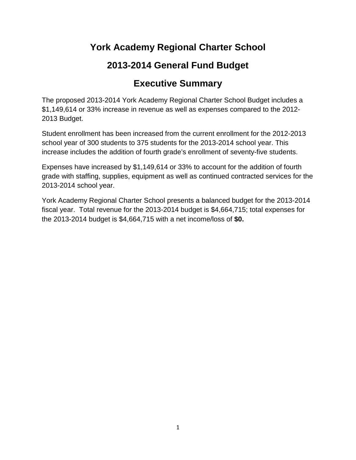## **York Academy Regional Charter School**

## **2013-2014 General Fund Budget**

## **Executive Summary**

The proposed 2013-2014 York Academy Regional Charter School Budget includes a \$1,149,614 or 33% increase in revenue as well as expenses compared to the 2012- 2013 Budget.

Student enrollment has been increased from the current enrollment for the 2012-2013 school year of 300 students to 375 students for the 2013-2014 school year. This increase includes the addition of fourth grade's enrollment of seventy-five students.

Expenses have increased by \$1,149,614 or 33% to account for the addition of fourth grade with staffing, supplies, equipment as well as continued contracted services for the 2013-2014 school year.

York Academy Regional Charter School presents a balanced budget for the 2013-2014 fiscal year. Total revenue for the 2013-2014 budget is \$4,664,715; total expenses for the 2013-2014 budget is \$4,664,715 with a net income/loss of **\$0.**